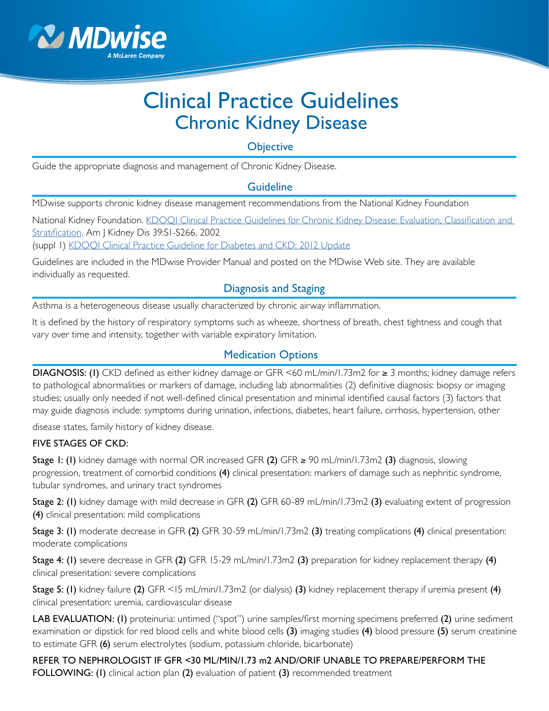

# Clinical Practice Guidelines Chronic Kidney Disease

**Objective** 

Guide the appropriate diagnosis and management of Chronic Kidney Disease.

## **Guideline**

MDwise supports chronic kidney disease management recommendations from the National Kidney Foundation

National Kidney Foundation. [KDOQI Clinical Practice Guidelines for Chronic Kidney Disease: Evaluation, Classification and](http://www2.kidney.org/professionals/KDOQI/guidelines_ckd/toc.htm)  [Stratification](http://www2.kidney.org/professionals/KDOQI/guidelines_ckd/toc.htm). Am J Kidney Dis 39:S1-S266, 2002

(suppl 1) [KDOQI Clinical Practice Guideline for Diabetes and CKD: 2012 Update](https://www.kidney.org/professionals/KDOQI/guidelines_diabetesUp/diabetes-ckd-update-2012.pdf)

Guidelines are included in the MDwise Provider Manual and posted on the MDwise Web site. They are available individually as requested.

## Diagnosis and Staging

Asthma is a heterogeneous disease usually characterized by chronic airway inflammation.

It is defined by the history of respiratory symptoms such as wheeze, shortness of breath, chest tightness and cough that vary over time and intensity, together with variable expiratory limitation.

# Medication Options

DIAGNOSIS: (I) CKD defined as either kidney damage or GFR <60 mL/min/1.73m2 for ≥ 3 months; kidney damage refers to pathological abnormalities or markers of damage, including lab abnormalities (2) definitive diagnosis: biopsy or imaging studies; usually only needed if not well-defined clinical presentation and minimal identified causal factors (3) factors that may guide diagnosis include: symptoms during urination, infections, diabetes, heart failure, cirrhosis, hypertension, other

disease states, family history of kidney disease.

#### FIVE STAGES OF CKD:

Stage 1: (1) kidney damage with normal OR increased GFR  $(2)$  GFR  $\geq$  90 mL/min/1.73m2  $(3)$  diagnosis, slowing progression, treatment of comorbid conditions (4) clinical presentation: markers of damage such as nephritic syndrome, tubular syndromes, and urinary tract syndromes

Stage 2: (I) kidney damage with mild decrease in GFR (2) GFR 60-89 mL/min/1.73m2 (3) evaluating extent of progression (4) clinical presentation: mild complications

Stage 3: (I) moderate decrease in GFR (2) GFR 30-59 mL/min/1.73m2 (3) treating complications (4) clinical presentation: moderate complications

Stage 4: (I) severe decrease in GFR (2) GFR 15-29 mL/min/1.73m2 (3) preparation for kidney replacement therapy (4) clinical presentation: severe complications

Stage 5: (1) kidney failure (2) GFR <15 mL/min/1.73m2 (or dialysis) (3) kidney replacement therapy if uremia present (4) clinical presentation: uremia, cardiovascular disease

LAB EVALUATION: (I) proteinuria: untimed ("spot") urine samples/first morning specimens preferred (2) urine sediment examination or dipstick for red blood cells and white blood cells (3) imaging studies (4) blood pressure (5) serum creatinine to estimate GFR (6) serum electrolytes (sodium, potassium chloride, bicarbonate)

REFER TO NEPHROLOGIST IF GFR <30 ML/MIN/1.73 m2 AND/ORIF UNABLE TO PREPARE/PERFORM THE FOLLOWING: (I) clinical action plan (2) evaluation of patient (3) recommended treatment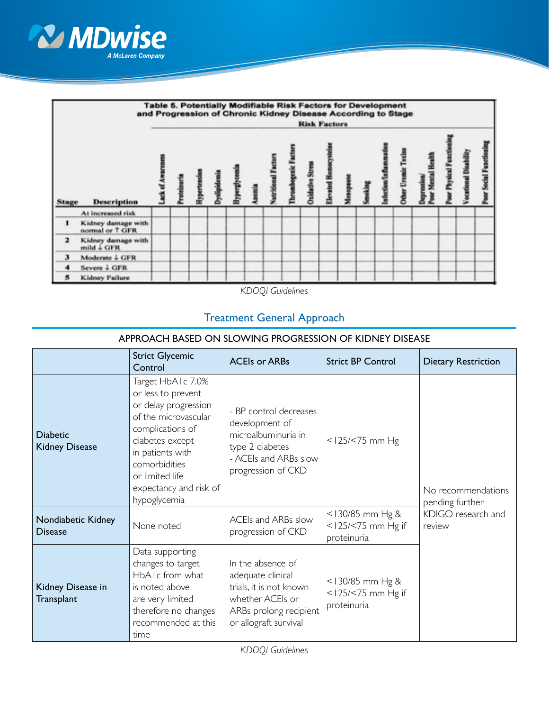



*KDOQI Guidelines*

## Treatment General Approach

| APPROACH BASED ON SLOWING PROGRESSION OF KIDNEY DISEASE |                                                                                                                                                                                                                                  |                                                                                                                                          |                                                               |                                       |  |
|---------------------------------------------------------|----------------------------------------------------------------------------------------------------------------------------------------------------------------------------------------------------------------------------------|------------------------------------------------------------------------------------------------------------------------------------------|---------------------------------------------------------------|---------------------------------------|--|
|                                                         | <b>Strict Glycemic</b><br>Control                                                                                                                                                                                                | <b>ACEIs or ARBs</b>                                                                                                                     | <b>Strict BP Control</b>                                      | <b>Dietary Restriction</b>            |  |
| <b>Diabetic</b><br><b>Kidney Disease</b>                | Target HbAIc 7.0%<br>or less to prevent<br>or delay progression<br>of the microvascular<br>complications of<br>diabetes except<br>in patients with<br>comorbidities<br>or limited life<br>expectancy and risk of<br>hypoglycemia | - BP control decreases<br>development of<br>microalbuminuria in<br>type 2 diabetes<br>- ACEIs and ARBs slow<br>progression of CKD        | $<$ 125/ $<$ 75 mm Hg                                         | No recommendations<br>pending further |  |
| Nondiabetic Kidney<br><b>Disease</b>                    | None noted                                                                                                                                                                                                                       | ACEIs and ARBs slow<br>progression of CKD                                                                                                | $<$ 130/85 mm Hg &<br>$<$ 125/ $<$ 75 mm Hg if<br>proteinuria | KDIGO research and<br>review          |  |
| Kidney Disease in<br>Transplant                         | Data supporting<br>changes to target<br>HbAIc from what<br>is noted above<br>are very limited<br>therefore no changes<br>recommended at this<br>time                                                                             | In the absence of<br>adequate clinical<br>trials, it is not known<br>whether ACEIs or<br>ARBs prolong recipient<br>or allograft survival | <130/85 mm Hg &<br>$<$ 125/ $<$ 75 mm Hg if<br>proteinuria    |                                       |  |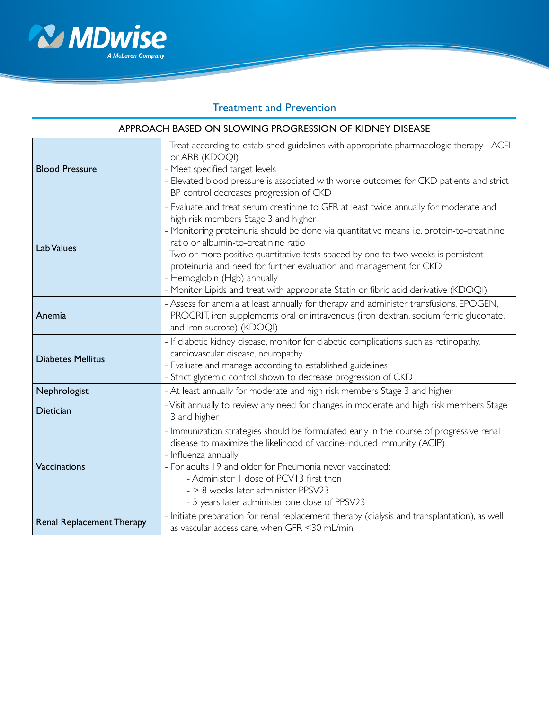

# Treatment and Prevention

| APPROACH BASED ON SLOWING PROGRESSION OF KIDNEY DISEASE |                                                                                                                                                                                                                                                                                                                                                                                                                                                                                                                                                       |  |  |
|---------------------------------------------------------|-------------------------------------------------------------------------------------------------------------------------------------------------------------------------------------------------------------------------------------------------------------------------------------------------------------------------------------------------------------------------------------------------------------------------------------------------------------------------------------------------------------------------------------------------------|--|--|
| <b>Blood Pressure</b>                                   | - Treat according to established guidelines with appropriate pharmacologic therapy - ACEI<br>or ARB (KDOQI)<br>- Meet specified target levels<br>- Elevated blood pressure is associated with worse outcomes for CKD patients and strict<br>BP control decreases progression of CKD                                                                                                                                                                                                                                                                   |  |  |
| Lab Values                                              | - Evaluate and treat serum creatinine to GFR at least twice annually for moderate and<br>high risk members Stage 3 and higher<br>- Monitoring proteinuria should be done via quantitative means i.e. protein-to-creatinine<br>ratio or albumin-to-creatinine ratio<br>- Two or more positive quantitative tests spaced by one to two weeks is persistent<br>proteinuria and need for further evaluation and management for CKD<br>- Hemoglobin (Hgb) annually<br>- Monitor Lipids and treat with appropriate Statin or fibric acid derivative (KDOQI) |  |  |
| Anemia                                                  | - Assess for anemia at least annually for therapy and administer transfusions, EPOGEN,<br>PROCRIT, iron supplements oral or intravenous (iron dextran, sodium ferric gluconate,<br>and iron sucrose) (KDOQI)                                                                                                                                                                                                                                                                                                                                          |  |  |
| <b>Diabetes Mellitus</b>                                | - If diabetic kidney disease, monitor for diabetic complications such as retinopathy,<br>cardiovascular disease, neuropathy<br>- Evaluate and manage according to established guidelines<br>- Strict glycemic control shown to decrease progression of CKD                                                                                                                                                                                                                                                                                            |  |  |
| Nephrologist                                            | - At least annually for moderate and high risk members Stage 3 and higher                                                                                                                                                                                                                                                                                                                                                                                                                                                                             |  |  |
| <b>Dietician</b>                                        | - Visit annually to review any need for changes in moderate and high risk members Stage<br>3 and higher                                                                                                                                                                                                                                                                                                                                                                                                                                               |  |  |
| Vaccinations                                            | - Immunization strategies should be formulated early in the course of progressive renal<br>disease to maximize the likelihood of vaccine-induced immunity (ACIP)<br>- Influenza annually<br>- For adults 19 and older for Pneumonia never vaccinated:<br>- Administer 1 dose of PCV13 first then<br>- > 8 weeks later administer PPSV23<br>- 5 years later administer one dose of PPSV23                                                                                                                                                              |  |  |
| <b>Renal Replacement Therapy</b>                        | - Initiate preparation for renal replacement therapy (dialysis and transplantation), as well<br>as vascular access care, when GFR <30 mL/min                                                                                                                                                                                                                                                                                                                                                                                                          |  |  |